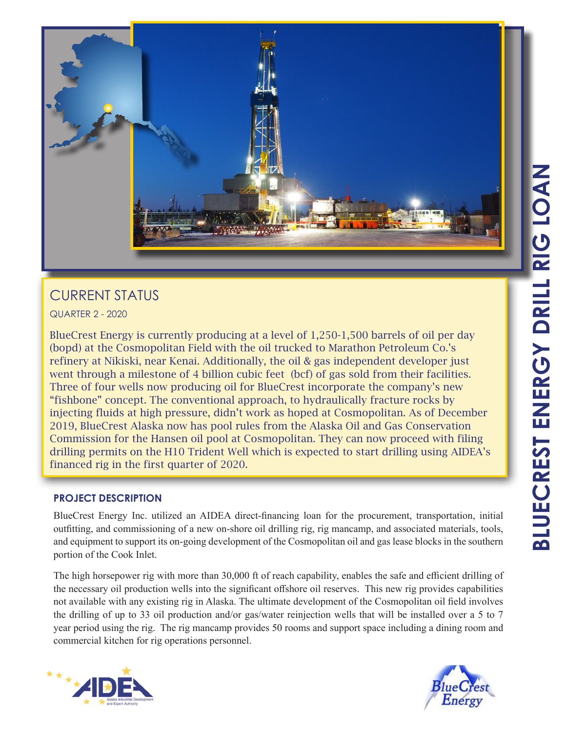

# CURRENT STATUS

QUARTER 2 - 2020

BlueCrest Energy is currently producing at a level of 1,250-1,500 barrels of oil per day (bopd) at the Cosmopolitan Field with the oil trucked to Marathon Petroleum Co.'s refinery at Nikiski, near Kenai. Additionally, the oil & gas independent developer just went through a milestone of 4 billion cubic feet (bcf) of gas sold from their facilities. Three of four wells now producing oil for BlueCrest incorporate the company's new "fishbone" concept. The conventional approach, to hydraulically fracture rocks by injecting fluids at high pressure, didn't work as hoped at Cosmopolitan. As of December 2019, BlueCrest Alaska now has pool rules from the Alaska Oil and Gas Conservation Commission for the Hansen oil pool at Cosmopolitan. They can now proceed with filing drilling permits on the H10 Trident Well which is expected to start drilling using AIDEA's financed rig in the first quarter of 2020.

## **PROJECT DESCRIPTION**

BlueCrest Energy Inc. utilized an AIDEA direct-financing loan for the procurement, transportation, initial outfitting, and commissioning of a new on-shore oil drilling rig, rig mancamp, and associated materials, tools, and equipment to support its on-going development of the Cosmopolitan oil and gas lease blocks in the southern portion of the Cook Inlet.

The high horsepower rig with more than 30,000 ft of reach capability, enables the safe and efficient drilling of the necessary oil production wells into the significant offshore oil reserves. This new rig provides capabilities not available with any existing rig in Alaska. The ultimate development of the Cosmopolitan oil field involves the drilling of up to 33 oil production and/or gas/water reinjection wells that will be installed over a 5 to 7 year period using the rig. The rig mancamp provides 50 rooms and support space including a dining room and commercial kitchen for rig operations personnel.